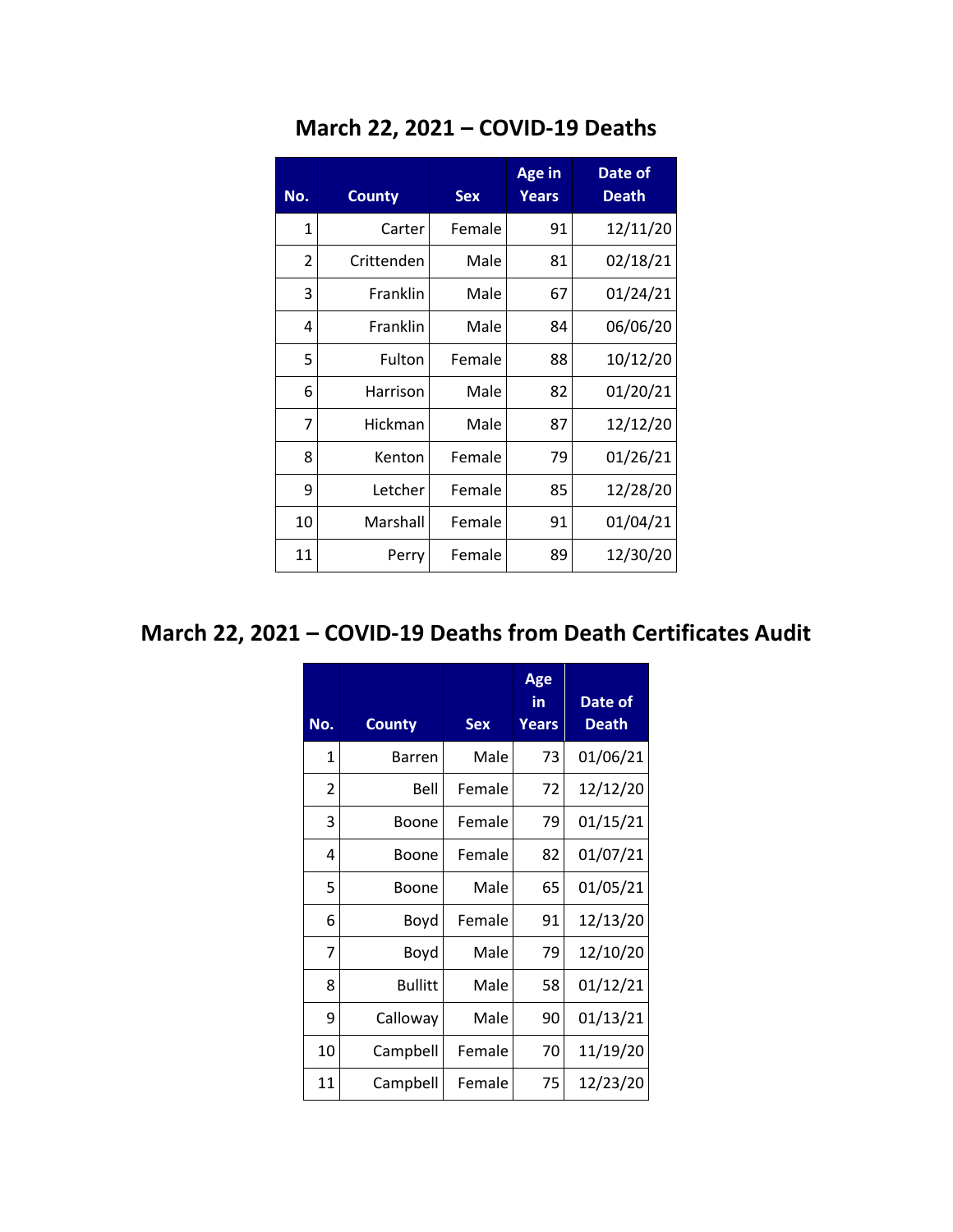| No.          | <b>County</b> | <b>Sex</b> | <b>Age in</b><br><b>Years</b> | Date of<br>Death |
|--------------|---------------|------------|-------------------------------|------------------|
| $\mathbf{1}$ | Carter        | Female     | 91                            | 12/11/20         |
| 2            | Crittenden    | Male       | 81                            | 02/18/21         |
| 3            | Franklin      | Male       | 67                            | 01/24/21         |
| 4            | Franklin      | Male       | 84                            | 06/06/20         |
| 5            | Fulton        | Female     | 88                            | 10/12/20         |
| 6            | Harrison      | Male       | 82                            | 01/20/21         |
| 7            | Hickman       | Male       | 87                            | 12/12/20         |
| 8            | Kenton        | Female     | 79                            | 01/26/21         |
| 9            | Letcher       | Female     | 85                            | 12/28/20         |
| 10           | Marshall      | Female     | 91                            | 01/04/21         |
| 11           | Perry         | Female     | 89                            | 12/30/20         |

## **March 22, 2021 – COVID-19 Deaths**

## **March 22, 2021 – COVID-19 Deaths from Death Certificates Audit**

| No.          | <b>County</b>  | <b>Sex</b> | Age<br>in<br><b>Years</b> | Date of<br>Death |
|--------------|----------------|------------|---------------------------|------------------|
| $\mathbf{1}$ | <b>Barren</b>  | Male       | 73                        | 01/06/21         |
| 2            | Bell           | Female     | 72                        | 12/12/20         |
| 3            | Boone          | Female     | 79                        | 01/15/21         |
| 4            | Boone          | Female     | 82                        | 01/07/21         |
| 5            | Boone          | Male       | 65                        | 01/05/21         |
| 6            | Boyd           | Female     | 91                        | 12/13/20         |
| 7            | Boyd           | Male       | 79                        | 12/10/20         |
| 8            | <b>Bullitt</b> | Male       | 58                        | 01/12/21         |
| 9            | Calloway       | Male       | 90                        | 01/13/21         |
| 10           | Campbell       | Female     | 70                        | 11/19/20         |
| 11           | Campbell       | Female     | 75                        | 12/23/20         |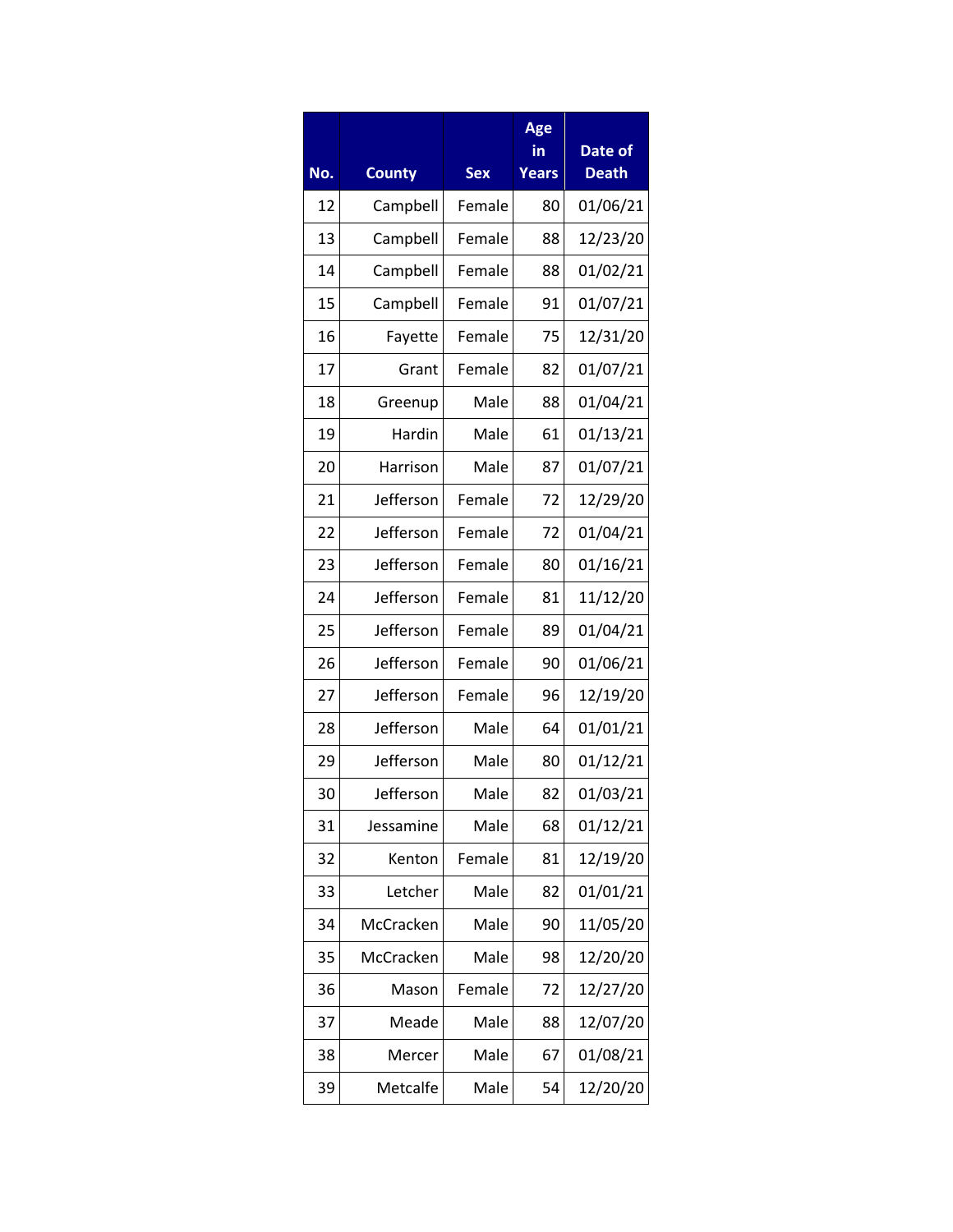|     |               |            | Age<br>in    | Date of      |
|-----|---------------|------------|--------------|--------------|
| No. | <b>County</b> | <b>Sex</b> | <b>Years</b> | <b>Death</b> |
| 12  | Campbell      | Female     | 80           | 01/06/21     |
| 13  | Campbell      | Female     | 88           | 12/23/20     |
| 14  | Campbell      | Female     | 88           | 01/02/21     |
| 15  | Campbell      | Female     | 91           | 01/07/21     |
| 16  | Fayette       | Female     | 75           | 12/31/20     |
| 17  | Grant         | Female     | 82           | 01/07/21     |
| 18  | Greenup       | Male       | 88           | 01/04/21     |
| 19  | Hardin        | Male       | 61           | 01/13/21     |
| 20  | Harrison      | Male       | 87           | 01/07/21     |
| 21  | Jefferson     | Female     | 72           | 12/29/20     |
| 22  | Jefferson     | Female     | 72           | 01/04/21     |
| 23  | Jefferson     | Female     | 80           | 01/16/21     |
| 24  | Jefferson     | Female     | 81           | 11/12/20     |
| 25  | Jefferson     | Female     | 89           | 01/04/21     |
| 26  | Jefferson     | Female     | 90           | 01/06/21     |
| 27  | Jefferson     | Female     | 96           | 12/19/20     |
| 28  | Jefferson     | Male       | 64           | 01/01/21     |
| 29  | Jefferson     | Male       | 80           | 01/12/21     |
| 30  | Jefferson     | Male       | 82           | 01/03/21     |
| 31  | Jessamine     | Male       | 68           | 01/12/21     |
| 32  | Kenton        | Female     | 81           | 12/19/20     |
| 33  | Letcher       | Male       | 82           | 01/01/21     |
| 34  | McCracken     | Male       | 90           | 11/05/20     |
| 35  | McCracken     | Male       | 98           | 12/20/20     |
| 36  | Mason         | Female     | 72           | 12/27/20     |
| 37  | Meade         | Male       | 88           | 12/07/20     |
| 38  | Mercer        | Male       | 67           | 01/08/21     |
| 39  | Metcalfe      | Male       | 54           | 12/20/20     |